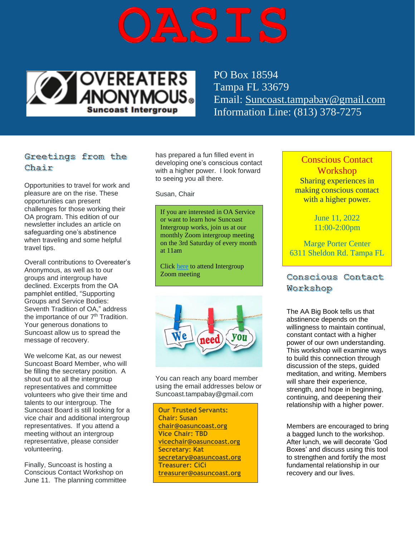



PO Box 18594 Tampa FL 33679 Email: [Suncoast.tampabay@gmail.com](mailto:Suncoast.tampabay@gmail.com) Information Line: (813) 378-7275

## Greetings from the Chair

Opportunities to travel for work and pleasure are on the rise. These opportunities can present challenges for those working their OA program. This edition of our newsletter includes an article on safeguarding one's abstinence when traveling and some helpful travel tips.

Overall contributions to Overeater's Anonymous, as well as to our groups and intergroup have declined. Excerpts from the OA pamphlet entitled, "Supporting Groups and Service Bodies: Seventh Tradition of OA," address the importance of our 7<sup>th</sup> Tradition. Your generous donations to Suncoast allow us to spread the message of recovery.

We welcome Kat, as our newest Suncoast Board Member, who will be filling the secretary position. A shout out to all the intergroup representatives and committee volunteers who give their time and talents to our intergroup. The Suncoast Board is still looking for a vice chair and additional intergroup representatives. If you attend a meeting without an intergroup representative, please consider volunteering.

Finally, Suncoast is hosting a Conscious Contact Workshop on June 11. The planning committee has prepared a fun filled event in developing one's conscious contact with a higher power. I look forward to seeing you all there.

Susan, Chair

If you are interested in OA Service or want to learn how Suncoast Intergroup works, join us at our monthly Zoom intergroup meeting on the 3rd Saturday of every month at 11am

Click [here](https://us02web.zoom.us/j/4359811321?pwd=ckpxTkFkSkViU1VCdVhqcHhQN3Rkdz09#success) to attend Intergroup Zoom meeting



You can reach any board member using the email addresses below or Suncoast.tampabay@gmail.com

**Our Trusted Servants: Chair: Susan [chair@oasuncoast.org](mailto:chair@oasuncoast.org) Vice Chair: TBD [vicechair@oasuncoast.org](mailto:vicechair@oasuncoast.org) Secretary: Kat [secretary@oasuncoast.org](mailto:secretary@oasuncoast.org) Treasurer: CiCi [treasurer@oasuncoast.org](mailto:treasurer@oasuncoast.org)**

Conscious Contact **Workshop** Sharing experiences in making conscious contact with a higher power.

> June 11, 2022 11:00-2:00pm

Marge Porter Center 6311 Sheldon Rd. Tampa FL

Conscious Contact Workshop

The AA Big Book tells us that abstinence depends on the willingness to maintain continual, constant contact with a higher power of our own understanding. This workshop will examine ways to build this connection through discussion of the steps, guided meditation, and writing. Members will share their experience, strength, and hope in beginning. continuing, and deepening their relationship with a higher power.

Members are encouraged to bring a bagged lunch to the workshop. After lunch, we will decorate 'God Boxes' and discuss using this tool to strengthen and fortify the most fundamental relationship in our recovery and our lives.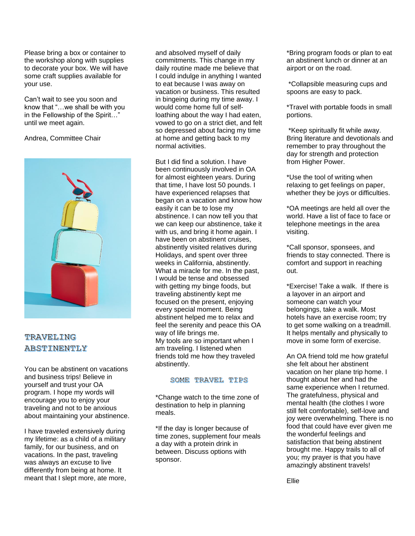Please bring a box or container to the workshop along with supplies to decorate your box. We will have some craft supplies available for your use.

Can't wait to see you soon and know that "…we shall be with you in the Fellowship of the Spirit…" until we meet again.

Andrea, Committee Chair



## TRAVELING ABSTINENTLY

You can be abstinent on vacations and business trips! Believe in yourself and trust your OA program. I hope my words will encourage you to enjoy your traveling and not to be anxious about maintaining your abstinence.

I have traveled extensively during my lifetime: as a child of a military family, for our business, and on vacations. In the past, traveling was always an excuse to live differently from being at home. It meant that I slept more, ate more,

and absolved myself of daily commitments. This change in my daily routine made me believe that I could indulge in anything I wanted to eat because I was away on vacation or business. This resulted in bingeing during my time away. I would come home full of selfloathing about the way I had eaten, vowed to go on a strict diet, and felt so depressed about facing my time at home and getting back to my normal activities.

But I did find a solution. I have been continuously involved in OA for almost eighteen years. During that time, I have lost 50 pounds. I have experienced relapses that began on a vacation and know how easily it can be to lose my abstinence. I can now tell you that we can keep our abstinence, take it with us, and bring it home again. I have been on abstinent cruises, abstinently visited relatives during Holidays, and spent over three weeks in California, abstinently. What a miracle for me. In the past, I would be tense and obsessed with getting my binge foods, but traveling abstinently kept me focused on the present, enjoying every special moment. Being abstinent helped me to relax and feel the serenity and peace this OA way of life brings me. My tools are so important when I am traveling. I listened when friends told me how they traveled abstinently.

### SOME TRAVEL TIPS

\*Change watch to the time zone of destination to help in planning meals.

\*If the day is longer because of time zones, supplement four meals a day with a protein drink in between. Discuss options with sponsor.

\*Bring program foods or plan to eat an abstinent lunch or dinner at an airport or on the road.

\*Collapsible measuring cups and spoons are easy to pack.

\*Travel with portable foods in small portions.

\*Keep spiritually fit while away. Bring literature and devotionals and remember to pray throughout the day for strength and protection from Higher Power.

\*Use the tool of writing when relaxing to get feelings on paper, whether they be joys or difficulties.

\*OA meetings are held all over the world. Have a list of face to face or telephone meetings in the area visiting.

\*Call sponsor, sponsees, and friends to stay connected. There is comfort and support in reaching out.

\*Exercise! Take a walk. If there is a layover in an airport and someone can watch your belongings, take a walk. Most hotels have an exercise room; try to get some walking on a treadmill. It helps mentally and physically to move in some form of exercise.

An OA friend told me how grateful she felt about her abstinent vacation on her plane trip home. I thought about her and had the same experience when I returned. The gratefulness, physical and mental health (the clothes I wore still felt comfortable), self-love and joy were overwhelming. There is no food that could have ever given me the wonderful feelings and satisfaction that being abstinent brought me. Happy trails to all of you; my prayer is that you have amazingly abstinent travels!